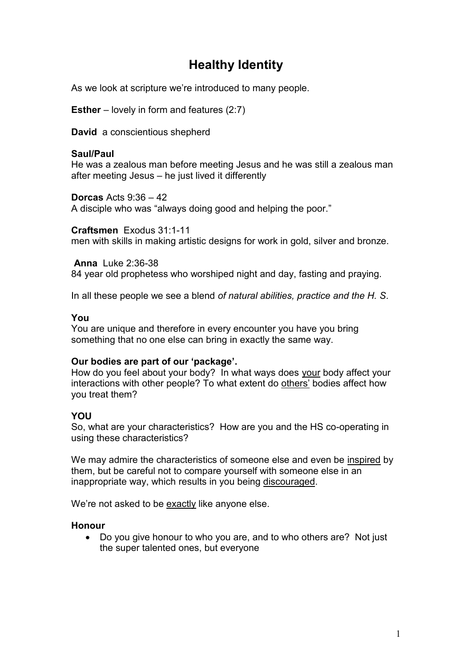# **Healthy Identity**

As we look at scripture we're introduced to many people.

**Esther** – lovely in form and features (2:7)

**David** a conscientious shepherd

# **Saul/Paul**

He was a zealous man before meeting Jesus and he was still a zealous man after meeting Jesus – he just lived it differently

**Dorcas** Acts 9:36 – 42 A disciple who was "always doing good and helping the poor."

**Craftsmen** Exodus 31:1-11 men with skills in making artistic designs for work in gold, silver and bronze.

**Anna** Luke 2:36-38 84 year old prophetess who worshiped night and day, fasting and praying.

In all these people we see a blend *of natural abilities, practice and the H. S*.

#### **You**

You are unique and therefore in every encounter you have you bring something that no one else can bring in exactly the same way.

# **Our bodies are part of our 'package'.**

How do you feel about your body? In what ways does your body affect your interactions with other people? To what extent do others' bodies affect how you treat them?

# **YOU**

So, what are your characteristics? How are you and the HS co-operating in using these characteristics?

We may admire the characteristics of someone else and even be inspired by them, but be careful not to compare yourself with someone else in an inappropriate way, which results in you being discouraged.

We're not asked to be exactly like anyone else.

# **Honour**

• Do you give honour to who you are, and to who others are? Not just the super talented ones, but everyone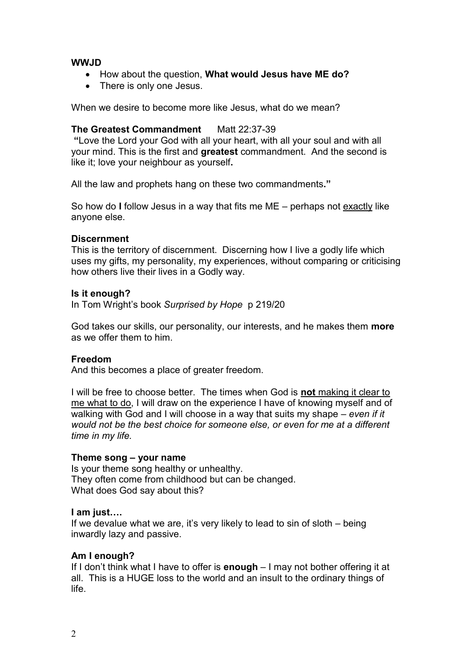### **WWJD**

- How about the question, **What would Jesus have ME do?**
- There is only one Jesus.

When we desire to become more like Jesus, what do we mean?

#### **The Greatest Commandment** Matt 22:37-39

**"**Love the Lord your God with all your heart, with all your soul and with all your mind. This is the first and **greatest** commandment. And the second is like it; love your neighbour as yourself**.**

All the law and prophets hang on these two commandments**."**

So how do **I** follow Jesus in a way that fits me ME – perhaps not exactly like anyone else.

#### **Discernment**

This is the territory of discernment. Discerning how I live a godly life which uses my gifts, my personality, my experiences, without comparing or criticising how others live their lives in a Godly way.

#### **Is it enough?**

In Tom Wright's book *Surprised by Hope* p 219/20

God takes our skills, our personality, our interests, and he makes them **more** as we offer them to him.

#### **Freedom**

And this becomes a place of greater freedom.

I will be free to choose better. The times when God is **not** making it clear to me what to do, I will draw on the experience I have of knowing myself and of walking with God and I will choose in a way that suits my shape – *even if it would not be the best choice for someone else, or even for me at a different time in my life.*

#### **Theme song – your name**

Is your theme song healthy or unhealthy. They often come from childhood but can be changed. What does God say about this?

#### **I am just….**

If we devalue what we are, it's very likely to lead to sin of sloth – being inwardly lazy and passive.

#### **Am I enough?**

If I don't think what I have to offer is **enough** – I may not bother offering it at all. This is a HUGE loss to the world and an insult to the ordinary things of life.